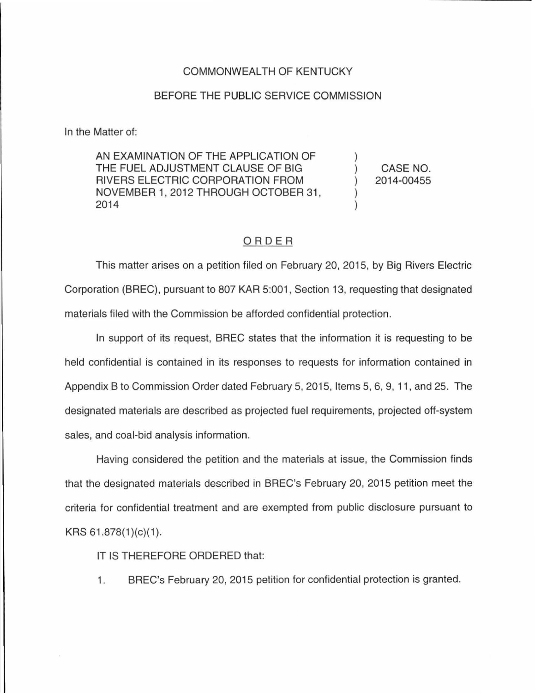## COMMONWEALTH OF KENTUCKY

## BEFORE THE PUBLIC SERVICE COMMISSION

In the Matter of:

AN EXAMINATION OF THE APPLICATION OF THE FUEL ADJUSTMENT CLAUSE OF BIG RIVERS ELECTRIC CORPORATION FROM NOVEMBER 1, 2012 THROUGH OCTOBER 31, 2014

CASE NO. 2014-00455

## ORDER

This matter arises on a petition filed on February 20, 2015, by Big Rivers Electric Corporation (BREC), pursuant to 807 KAR 5:001 , Section 13, requesting that designated materials filed with the Commission be afforded confidential protection.

In support of its request, BREC states that the information it is requesting to be held confidential is contained in its responses to requests for information contained in Appendix B to Commission Order dated February 5, 2015, Items 5, 6, 9, 11 , and 25. The designated materials are described as projected fuel requirements, projected off-system sales, and coal-bid analysis information.

Having considered the petition and the materials at issue, the Commission finds that the designated materials described in BREC's February 20, 2015 petition meet the criteria for confidential treatment and are exempted from public disclosure pursuant to  $KRS 61.878(1)(c)(1)$ .

IT IS THEREFORE ORDERED that:

1. BREC's February 20, 2015 petition for confidential protection is granted.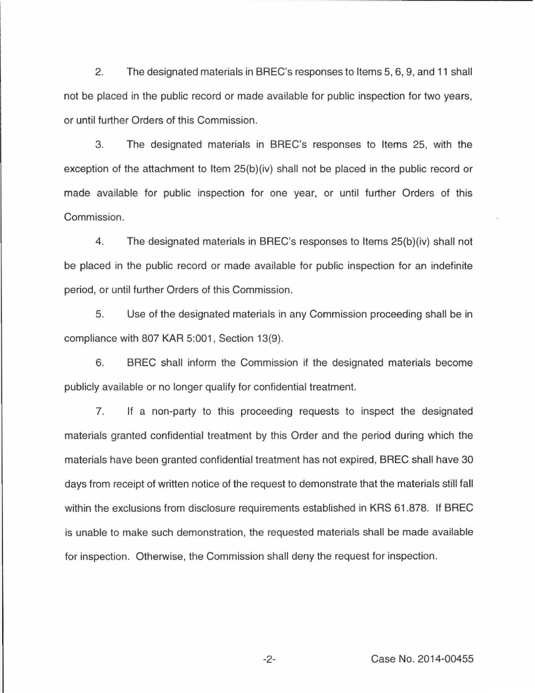2. The designated materials in BREC's responses to Items 5, 6, 9, and 11 shall not be placed in the public record or made available for public inspection for two years, or until further Orders of this Commission.

3. The designated materials in BREC's responses to Items 25, with the exception of the attachment to Item 25(b)(iv) shall not be placed in the public record or made available for public inspection for one year, or until further Orders of this Commission.

4. The designated materials in BREC's responses to Items 25(b)(iv) shall not be placed in the public record or made available for public inspection for an indefinite period, or until further Orders of this Commission.

5. Use of the designated materials in any Commission proceeding shall be in compliance with 807 KAR 5:001, Section 13(9).

6. BREC shall inform the Commission if the designated materials become publicly available or no longer qualify for confidential treatment.

7. If a non-party to this proceeding requests to inspect the designated materials granted confidential treatment by this Order and the period during which the materials have been granted confidential treatment has not expired, BREC shall have 30 days from receipt of written notice of the request to demonstrate that the materials still fall within the exclusions from disclosure requirements established in KRS 61.878. If BREC is unable to make such demonstration, the requested materials shall be made available for inspection. Otherwise, the Commission shall deny the request for inspection.

-2- Case No. 2014-00455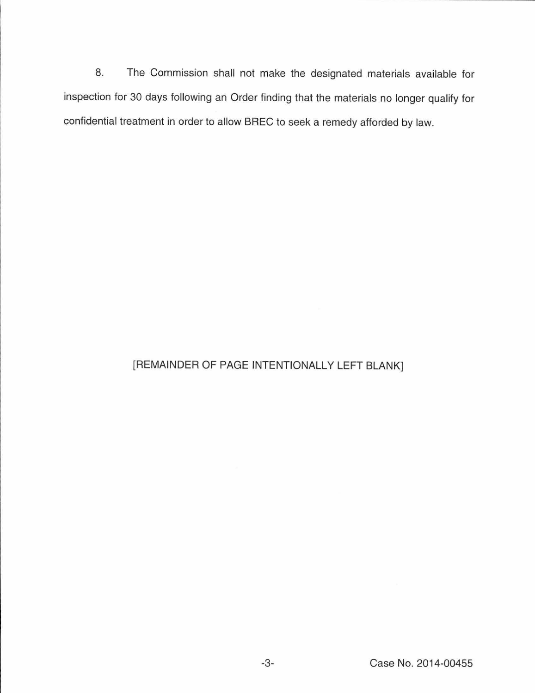8. The Commission shall not make the designated materials available for inspection for 30 days following an Order finding that the materials no longer qualify for confidential treatment in order to allow BREC to seek a remedy afforded by law.

## [REMAINDER OF PAGE INTENTIONALLY LEFT BLANK]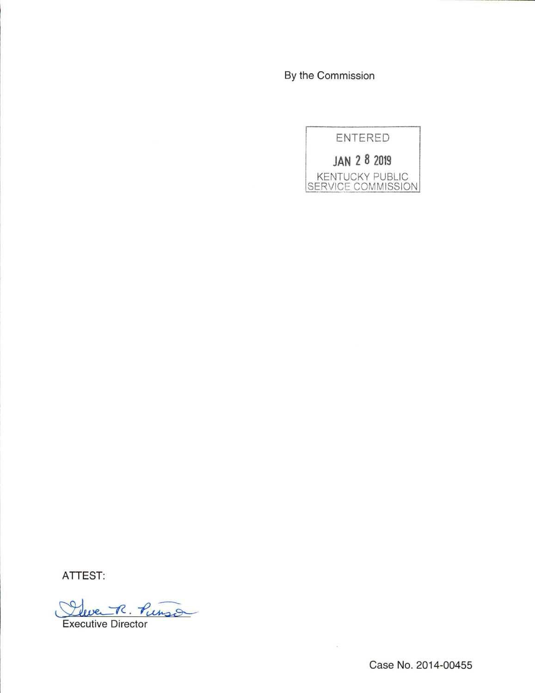By the Commission



ATTEST:

R. Punso Executive Director